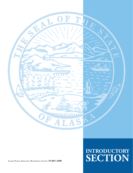

**ALASKA PUBLIC EMPLOYEES' RETIREMENT SYSTEM** • **FY 2011 CAFR**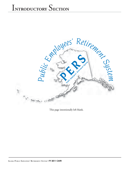

This page intentionally left blank.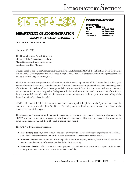### **DEPARTMENT OF ADMINISTRATION**

STATE OF ALAY

**DIVISION OF RETIREMENT AND BENEFITS** 

#### **LETTER OF TRANSMITTAL**

November 23, 2011

The Honorable Sean Parnell, Governor Members of the Alaska State Legislature Alaska Retirement Management Board Employers and Plan Members

We are pleased to present the Comprehensive Annual Financial Report (CAFR) of the Public Employees' Retirement System (PERS) (System) for the fiscal year ended June 30, 2011. The CAFR is intended to fulfill the legal requirements of Alaska Statute (AS) 39.35.004(a)(8).

The CAFR provides comprehensive information on the financial operations of the System for the fiscal year. Responsibility for the accuracy, completeness and fairness of the information presented rests with the management of the System. To the best of our knowledge and belief, the enclosed information is accurate in all material respects and is reported in a manner designed to fairly present the financial position and results of operations of the System for the year ended June 30, 2011. All disclosures necessary to enable the reader to gain an understanding of the System's activities have been included.

KPMG LLP, Certified Public Accountants, have issued an unqualified opinion on the Systems' basic financial statements for the year ended June 30, 2011. The independent auditor's report is located at the front of the Financial Section of this report.

The management's discussion and analysis (MD&A) is also located in the Financial Section of this report. The MD&A provides an analytical overview of the financial statements. This letter of transmittal is designed to complement the MD&A and should be read in conjunction with it.

The CAFR is divided into five sections:

- **Introductory Section,** which contains the letter of transmittal, the administrative organization of the PERS, and a list of the members serving on the Alaska Retirement Management Board (ARMB);
- Financial Section, which contains the Independent Auditor's Report, MD&A, basic financial statements, required supplementary information, and additional information;
- **Investment Section**, which contains a report prepared by the investment consultant, a report on investment activity, investment results, and various investment schedules;

#### **SEAN PARNELL, GOVERNOR**

| PO BOX 110203         |                |
|-----------------------|----------------|
| Juneau, AK 99811-0203 |                |
| TDD:                  | (907) 465-2805 |
| FAX:                  | (907) 465-3086 |
| <b>PHONE:</b>         | (907) 465-4460 |
| TOLL-FREE:            | 1-800-821-2251 |
|                       |                |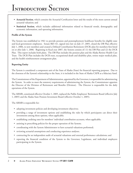- **Actuarial Section**, which contains the Actuarial Certification letter and the results of the most current annual actuarial valuation; and
- Statistical Section, which includes additional information related to financial trends, demographic and economic information, and operating information.

#### **Profile of the System**

The System was established in 1961 to provide pension and postemployment healthcare benefits for eligible state and local government employees. Senate Bill 141, signed into law on July 27, 2005, closed the DB Plan effective July 1, 2006, to new members and created a Defined Contribution Retirement (DCR) plan for members first hired on or after July 1, 2006. Beginning in fiscal year 2007, the System consists of: (1) the DB Plan and (2) the DCR Plan. This report includes both plans. The DB Plan includes the pension plan and the Alaska Retiree Health Care Trust. The DCR Plan includes the DCR trust, occupational death and disability plan, retiree major medical plan, and the health reimbursement arrangement plan.

#### **Reporting Entity**

The System is considered a component unit of the State of Alaska (State) for financial reporting purposes. Due to the closeness of the System's relationship to the State, it is included in the State of Alaska CAFR as a fiduciary fund.

The Commissioner of the Department of Administration, appointed by the Governor, is responsible for administering the System. In order to meet the statutory requirements of administering the System, the Commissioner appoints the Director of the Division of Retirement and Benefits (Division). The Director is responsible for the daily operations of the System.

The ARMB, constituted effective October 1, 2005, replaced the Public Employees' Retirement Board (effective July 1, 2005) and the Alaska State Pension Investment Board (effective October 1, 2005).

The ARMB is responsible for:

- adopting investment policies and developing investment objectives;
- providing a range of investment options and establishing the rules by which participants can direct their investments among those options, when applicable;
- establishing crediting rates for members' individual contribution accounts, when applicable;
- assisting in prescribing policies for the proper operation of the System;
- coordinating with the System Administrator to have actuarial valuations performed;
- reviewing actuarial assumptions and conducting experience analyses;
- contracting for an independent audit of actuarial valuations and external performance calculations; and
- reporting the financial condition of the System to the Governor, Legislature, and individual employers participating in the System.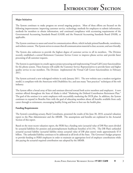#### **Major Initiatives**

The System continues to make progress on several ongoing projects. Most of these efforts are focused on the following improvements: improving customer service, technology, methods for employers to submit information, methods for members to obtain information, and continued compliance with accounting requirements of the Governmental Accounting Standards Board (GASB) and the Financial Accounting Standards Board (FASB), as applicable.

The System continues to assess and retool its communication efforts, which include printed handbooks, newsletters, and website content. The System strives to ensure that all communication material is clear, accurate, and user-friendly.

The System also endeavors to provide the highest degree of customer service to all its members. The Division recently established a central Retirement Customer Service Center to improve phone service and provide faster processing of all customer requests.

The System is a participant in a multi-agency project procuring and implementing Virtual Call Center functionalities for the phone system. These features will enable the Customer Service Representatives to provide faster and higher quality service to our members. The Division implemented the Virtual Call Center functionalities in February 2011.

The System activated a new redesigned website in early January 2011. The new website uses a modern navigation model, is compliant with the Americans with Disabilities Act, and uses many "best practices" techniques of the web industry.

The System offers a broad array of fairs and seminars directed toward both active members and employers. A new seminar offered throughout the State of Alaska is titled "Marketing the Defined Contribution Retirement Plan." The goal of the seminar is to assist employers with successfully marketing the DCR plan. In addition, the System continues to expand its Benefits Fairs with the goal of educating members about all benefits available from early career through to retirement, encouraging healthy living and how to best use the health plan.

#### **Funding Requirements**

The System's consulting actuary, Buck Consultants, presented the results of the June 30, 2010, actuarial valuation report to the Plan Administrator and the ARMB. The assumptions and benefits are explained in the Actuarial Section of this report.

Based on the most recent valuation report, the PERS has a funding ratio (actuarial value of DB Plan assets divided by actuarial liabilities for pension and postemployment healthcare benefits) of 61.5%. The DB Plan's unfunded actuarial accrued liability (actuarial liability minus actuarial value of DB plan assets) totals approximately \$7.0 billion. The unfunded liability continues to be addressed at all levels of the State. The Governor's budget proposes to provide funding to PERS employers in order to maintain an appropriate level of employer contributions while also paying the actuarial required contribution rate adopted by the ARMB.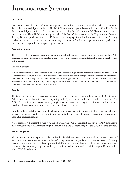#### **Investments**

On June 30, 2011, the DB Plan's investment portfolio was valued at \$11.3 billion and earned a 21.22% return for the fiscal year ended June 30, 2011. The DCR Plan's investment portfolio was valued at \$246 million for the fiscal year ended June 30, 2011. Over the past five years ending June 30, 2011, the DB Plan's investments earned a 4.33% return. The ARMB has statutory oversight of the System's investments and the Department of Revenue, Treasury Division, provides staff for the ARMB. Actual investing is performed by investment officers in the Treasury Division or by contracted external investment managers. The ARMB reviews and updates investment policies and strategies and is responsible for safeguarding invested assets.

#### **Accounting System**

This CAFR has been prepared to conform with the principles of accounting and reporting established by the GASB. Specific accounting treatments are detailed in the Notes to the Financial Statements found in the Financial Section of this report.

#### **Internal Controls**

System management is responsible for establishing and maintaining a system of internal controls to protect PERS assets from loss, theft, or misuse and to ensure adequate accounting data is compiled for the preparation of financial statements in conformity with generally accepted accounting principles. The cost of internal control should not exceed anticipated benefits; the objective is to provide reasonable, rather than absolute, assurance that the financial statements are free of any material misstatements.

#### **Awards**

The Government Finance Officers Association of the United States and Canada (GFOA) awarded a Certificate of Achievement for Excellence in Financial Reporting to the System for its CAFR for the fiscal year ended June 30, 2010. The Certificate of Achievement is a prestigious national award that recognizes conformance with the highest standards of preparation of state and local government financial reports.

In order to be awarded a Certificate of Achievement, a government entity must publish an easily readable and efficiently organized CAFR. This report must satisfy both U.S. generally accepted accounting principles and applicable legal requirements.

A Certificate of Achievement is valid for a period of one year. We are confident our current CAFR continues to meet the Certificate of Achievement Program's requirements and are submitting it to the GFOA for consideration.

#### **Acknowledgements**

The preparation of this report is made possible by the dedicated services of the staff of the Department of Administration, Division of Retirement and Benefits, Department of Law, and the Department of Revenue, Treasury Division. It is intended to provide complete and reliable information as a basis for making management decisions, as a means of determining compliance with legal provisions, and as a means of determining responsible stewardship of the PERS financial resources.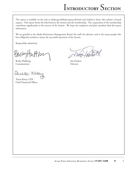The report is available on the web at alaska.gov/drb/pers/perscafr.html and mailed to those who submit a formal request. This report forms the link between the System and the membership. The cooperation of the membership contributes significantly to the success of the System. We hope the employers and plan members find this report informative.

We are grateful to the Alaska Retirement Management Board, the staff, the advisors, and to the many people who have diligently worked to assure the successful operation of the System.

Respectfully submitted,

í

Becky Hultberg Jim Puckett Commissioner Director

KLAI

Teresa Kesey, CPA Chief Financial Officer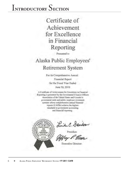Certificate of Achievement for Excellence in Financial Reporting

Presented to:

### Alaska Public Employees' Retirement System

For its Comprehensive Annual Financial Report for the Fiscal Year Ended June 30, 2010.

A Certificate of Achievement for Excellence in Financial Reporting is presented by the Government Fraance Officers Association of the United States and Canada to government units and public employee retirement systems whose comprehensive annual financial reports (CAFRs) achieve the highest: standards in government accounting and financial reporting



Linda C. Dandson

**Executive Director**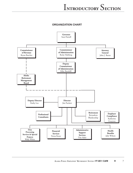**ORGANIZATION CHART**

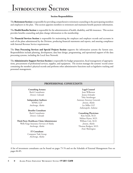#### **Section Responsibilities**

The **Retirement Section** is responsible for providing comprehensive retirement counseling to the participating members and employers in the plan. This section appoints members to retirement and maintains benefi t payment information.

The Health Benefits Section is responsible for the administration of health, disability, and life insurance. This section provides benefits counseling and plan change information to the membership.

The **Financial Services Section** is responsible for maintaining the employee and employer records and accounts in each of the plans administered by the Division, producing financial statements and reports, and assuring compliance with Internal Revenue Service requirements.

The **Data Processing Services and Special Projects Section** supports the information systems the System uses. Responsibilities include planning, development, data base design, programming, and operational support of the data processing systems, including the Local Area Network.

The **Administrative Support Services Section** is responsible for budget preparation, fiscal management of appropriations, procurement of professional services, supplies, and equipment. The section manages the systems' record center containing the member's physical records and performs other administrative functions such as legislative tracking and personnel management.

#### **PROFESSIONAL CONSULTANTS**

**Consulting Actuary** Buck Consultants *Denver, Colorado*

**Independent Auditors** KPMG LLP *Anchorage, Alaska*

**Benefits Consultant** Buck Consultants *Denver, Colorado*

**Third-Party Healthcare Claim Administrator** Wells Fargo Insurance Services of Alaska *Anchorage, Alaska*

> **IT Consultant** Computer Task Group *Anchorage, Alaska*

**Legal Counsel** Joan Wilkerson Jessica Schrader Toby Steinberger Assistant Attorney Generals *Juneau, Alaska* Ice Miller LLP *Indianapolis, Indiana*

#### **Consulting Physicians**

Kim Smith, M.D. Melissa Hynes, M.D. William Cole, M.D. *Juneau, Alaska* Thomas Rodgers, M.D. *Ford, Washington*

A list of investment consultants can be found on pages 75-76 and on the Schedule of External Management Fees on pages 84-85.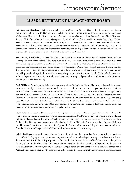### **ALASKA RETIREMENT MANAGEMENT BOARD**

Gail (Anagick) Schubert, Chair, is the Chief Executive Officer and General Counsel for the Bering Straits Native Corporation, and President/CEO of several of its subsidiary entities. She is an attorney licensed to practice law in the states of Alaska and New York. Mrs. Schubert serves as Chair of the Alaska Native Heritage Center, Chair of Akeela Treatment Services, Chair of the Alaska Retirement Management Board, Vice Chair of the Alaska Native Justice Center, Vice Chair of Khoanic Broadcast Corporation, Treasurer of the Bering Straits Native Corporation, and as a board member of the Alaska Federation of Natives, and the Alaska Native Arts Foundation. She is also a member of the Alaska Rural Justice and Law Enforcement Commission. Mrs. Schubert received her undergraduate degree from Stanford University, and holds a Law Degree and Masters Degree in Business Administration from Cornell University.

**Sam Trivette, Vice-Chair**, is on the national executive board of the American Federation of Teachers Retirees and was formerly President of the Retired Public Employees of Alaska. Mr. Trivette retired from public service after more than 32 years serving as Chief Probation Officer, Director of Community Corrections, Executive Director of the Parole Board, and as a probation and correctional officer. He is President of Quality Corrections Services, and on the board of directors of the Alaska Public Employees Association. Mr. Trivette has also served as an officer in a number of national and statewide professional organizations as well a many not-for-profi t organizations around Alaska. He has a Bachelor's degree in Psychology from the University of Alaska, Anchorage and has completed postgraduate work in public administration, law and psychological counseling.

**Gayle W. Harbo, Secretary,** retired after teaching mathematics in Fairbanks for 25 years. She also served as math department chair, as advanced placement coordinator, on the district curriculum, evaluation and budget committees, and twice as chair of the Lathrop Self-Evaluation for Accreditation Committee. Ms. Harbo is a member of Alpha Delta Kappa, AARP, National Retired Teachers of Alaska, Fairbanks Retired Teachers Association, National Council of Teacher Retirement Systems, NCTR Education Committee, and the Alaska Teachers' Retirement Board. She is also a co-manager of a family trust. Ms. Harbo was named Alaska Teacher of the Year in 1989. She holds a Bachelor's of Science in Mathematics from North Carolina State University, and a Masters in Teaching from the University of Alaska, Fairbanks, and has completed an additional 40 hours in mathematics, counseling, law and finance.

**Bryan Butcher** was appointed Commissioner of the Department of Revenue by Governor Sean Parnell in November, 2010. Prior to that, he worked at the Alaska Housing Finance Corporation (AHFC) as the director of governmental relations and public affairs and advised Governor Parnell on economic development issues. He also served as vice president of the Alaska Gasline Development Corporation. Before joining AHFC in 2003, Mr. Butcher worked as a finance aide for the state House and Senate finance committees for 12 years. Mr. Butcher holds a bachelor's degree in speech communications from the University of Oregon. He is a lifelong Alaskan, born and raised in Anchorage.

**Kristin Erchinger** is currently finance director for the City of Seward, having worked for the city in finance positions since 1994 including a year serving simultaneously as finance director and acting city manager. She became the finance director in 2000. Ms. Erchinger is past president of the Alaska Government Finance Officer's Association and represents that organization in the Alaska Municipal League. She also served on the Providence Alaska Region Board, the Graduate Medical Education Committee, the Alaska Municipal League Board, and the Board of the American Society for Public Administration, Alaska Chapter. Ms. Erchinger earned bachelor's degrees in international studies and Japanese language